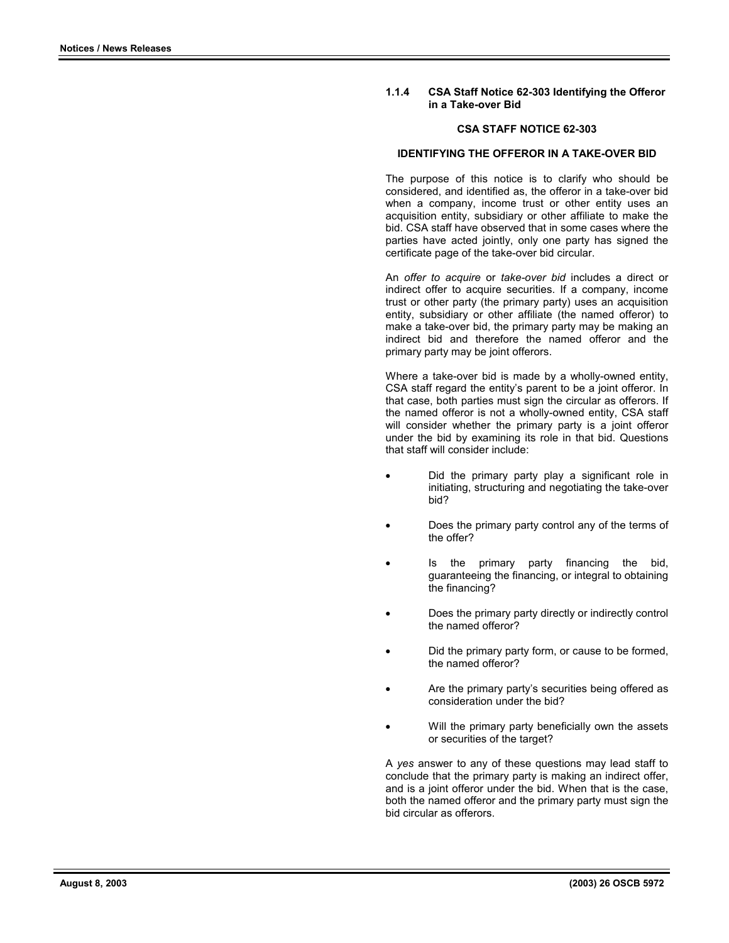### **1.1.4 CSA Staff Notice 62-303 Identifying the Offeror in a Take-over Bid**

### **CSA STAFF NOTICE 62-303**

#### **IDENTIFYING THE OFFEROR IN A TAKE-OVER BID**

The purpose of this notice is to clarify who should be considered, and identified as, the offeror in a take-over bid when a company, income trust or other entity uses an acquisition entity, subsidiary or other affiliate to make the bid. CSA staff have observed that in some cases where the parties have acted jointly, only one party has signed the certificate page of the take-over bid circular.

An *offer to acquire* or *take-over bid* includes a direct or indirect offer to acquire securities. If a company, income trust or other party (the primary party) uses an acquisition entity, subsidiary or other affiliate (the named offeror) to make a take-over bid, the primary party may be making an indirect bid and therefore the named offeror and the primary party may be joint offerors.

Where a take-over bid is made by a wholly-owned entity, CSA staff regard the entity's parent to be a joint offeror. In that case, both parties must sign the circular as offerors. If the named offeror is not a wholly-owned entity, CSA staff will consider whether the primary party is a joint offeror under the bid by examining its role in that bid. Questions that staff will consider include:

- Did the primary party play a significant role in initiating, structuring and negotiating the take-over bid?
- Does the primary party control any of the terms of the offer?
- Is the primary party financing the bid, guaranteeing the financing, or integral to obtaining the financing?
- Does the primary party directly or indirectly control the named offeror?
- Did the primary party form, or cause to be formed, the named offeror?
- Are the primary party's securities being offered as consideration under the bid?
- Will the primary party beneficially own the assets or securities of the target?

A *yes* answer to any of these questions may lead staff to conclude that the primary party is making an indirect offer, and is a joint offeror under the bid. When that is the case, both the named offeror and the primary party must sign the bid circular as offerors.